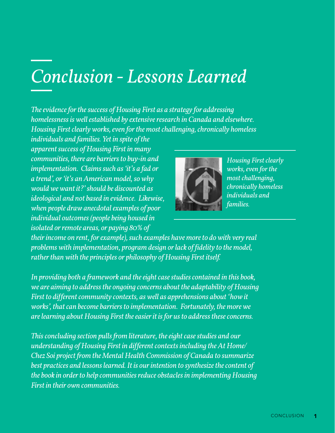### *Conclusion - Lessons Learned*

*The evidence for the success of Housing First as a strategy for addressing homelessness is well established by extensive research in Canada and elsewhere. Housing First clearly works, even for the most challenging, chronically homeless* 

*individuals and families. Yet in spite of the apparent success of Housing First in many communities, there are barriers to buy-in and implementation. Claims such as 'it's a fad or a trend', or 'it's an American model, so why would we want it?' should be discounted as ideological and not based in evidence. Likewise , when people draw anecdotal examples of poor individual outcomes (people being housed in isolated or remote areas, or paying 80% of* 



*Housing First clearly works, even for the most challenging, chronically homeless individuals and families.*

*their income on rent, for example), such examples have more to do with very real problems with implementation, program design or lack of fidelity to the model, rather than with the principles or philosophy of Housing First itself.*

*In providing both a framework and the eight case studies contained in this book, we are aiming to address the ongoing concerns about the adaptability of Housing First to different community contexts, as well as apprehensions about 'how it works', that can become barriers to implementation. Fortunately, the more we are learning about Housing First the easier it is for us to address these concerns.* 

*This concluding section pulls from literature, the eight case studies and our understanding of Housing First in different contexts including the At Home/ Chez Soi project from the Mental Health Commission of Canada to summarize best practices and lessons learned. It is our intention to synthesize the content of the book in order to help communities reduce obstacles in implementing Housing First in their own communities.*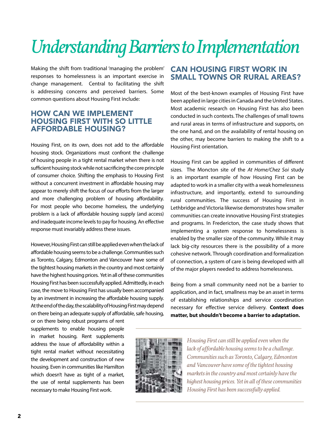## *Understanding Barriers to Implementation*

Making the shift from traditional 'managing the problem' responses to homelessness is an important exercise in change management. Central to facilitating the shift is addressing concerns and perceived barriers. Some common questions about Housing First include:

#### How can we implement **HOUSING FIRST WITH SO LITTLE** aFFordable Housing?

Housing First, on its own, does not add to the affordable housing stock. Organizations must confront the challenge of housing people in a tight rental market when there is not sufficient housing stock while not sacrificing the core principle of consumer choice. Shifting the emphasis to Housing First without a concurrent investment in affordable housing may appear to merely shift the focus of our efforts from the larger and more challenging problem of housing affordability. For most people who become homeless, the underlying problem is a lack of affordable housing supply (and access) and inadequate income levels to pay for housing. An effective response must invariably address these issues.

However, Housing First can still be applied even when the lack of affordable housing seems to be a challenge. Communities such as Toronto, Calgary, Edmonton and Vancouver have some of the tightest housing markets in the country and most certainly have the highest housing prices. Yet in all of these communities Housing First has been successfully applied. Admittedly, in each case, the move to Housing First has usually been accompanied by an investment in increasing the affordable housing supply. At the end of the day, the scalability of Housing First may depend on there being an adequate supply of affordable, safe housing,

or on there being robust programs of rent supplements to enable housing people in market housing. Rent supplements address the issue of affordability within a tight rental market without necessitating the development and construction of new housing. Even in communities like Hamilton which doesn't have as tight of a market, the use of rental supplements has been necessary to make Housing First work.

#### **CAN HOUSING FIRST WORK IN SMALL TOWNS OR RURAL AREAS?**

Most of the best-known examples of Housing First have been applied in large cities in Canada and the United States. Most academic research on Housing First has also been conducted in such contexts. The challenges of small towns and rural areas in terms of infrastructure and supports, on the one hand, and on the availability of rental housing on the other, may become barriers to making the shift to a Housing First orientation.

Housing First can be applied in communities of different sizes. The Moncton site of the *At Home/Chez Soi* study is an important example of how Housing First can be adapted to work in a smaller city with a weak homelessness infrastructure, and importantly, extend to surrounding rural communities. The success of Housing First in Lethbridge and Victoria likewise demonstrates how smaller communities can create innovative Housing First strategies and programs. In Fredericton, the case study shows that implementing a system response to homelessness is enabled by the smaller size of the community. While it may lack big-city resources there is the possibility of a more cohesive network. Through coordination and formalization of connection, a system of care is being developed with all of the major players needed to address homelessness.

Being from a small community need not be a barrier to application, and in fact, smallness may be an asset in terms of establishing relationships and service coordination necessary for effective service delivery. **Context does matter, but shouldn't become a barrier to adaptation.**



*Housing First can still be applied even when the lack of affordable housing seems to be a challenge. Communities such as Toronto, Calgary, Edmonton and Vancouver have some of the tightest housing markets in the country and most certainly have the highest housing prices. Yet in all of these communities Housing First has been successfully applied.*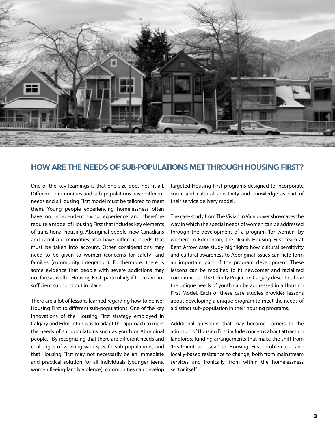

#### How are tHe needs oF sub-populations met tHrougH Housing First?

One of the key learnings is that one size does not fit all. Different communities and sub-populations have different needs and a Housing First model must be tailored to meet them. Young people experiencing homelessness often have no independent living experience and therefore require a model of Housing First that includes key elements of transitional housing. Aboriginal people, new Canadians and racialized minorities also have different needs that must be taken into account. Other considerations may need to be given to women (concerns for safety) and families (community integration). Furthermore, there is some evidence that people with severe addictions may not fare as well in Housing First, particularly if there are not sufficient supports put in place.

There are a lot of lessons learned regarding how to deliver Housing First to different sub-populations. One of the key innovations of the Housing First strategy employed in Calgary and Edmonton was to adapt the approach to meet the needs of subpopulations such as youth or Aboriginal people. By recognizing that there are different needs and challenges of working with specific sub-populations, and that Housing First may not necessarily be an immediate and practical solution for all individuals (younger teens, women fleeing family violence), communities can develop

targeted Housing First programs designed to incorporate social and cultural sensitivity and knowledge as part of their service delivery model.

The case study from The Vivian in Vancouver showcases the way in which the special needs of women can be addressed through the development of a program 'for women, by women'. In Edmonton, the Nikihk Housing First team at Bent Arrow case study highlights how cultural sensitivity and cultural awareness to Aboriginal issues can help form an important part of the program development. These lessons can be modified to fit newcomer and racialized communities. The Infinity Project in Calgary describes how the unique needs of youth can be addressed in a Housing First Model. Each of these case studies provides lessons about developing a unique program to meet the needs of a distinct sub-population in their housing programs.

Additional questions that may become barriers to the adoption of Housing First include concerns about attracting landlords, funding arrangements that make the shift from 'treatment as usual' to Housing First problematic and locally-based resistance to change, both from mainstream services and ironically, from within the homelessness sector itself.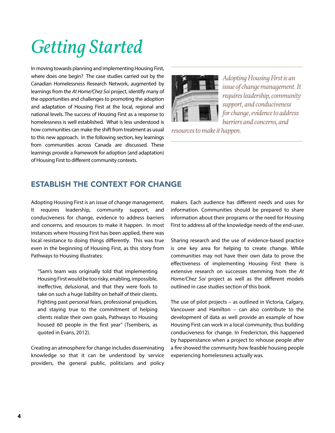# *Getting Started*

In moving towards planning and implementing Housing First, where does one begin? The case studies carried out by the Canadian Homelessness Research Network, augmented by learnings from the At Home/Chez Soi project, identify many of the opportunities and challenges to promoting the adoption and adaptation of Housing First at the local, regional and national levels. The success of Housing First as a response to homelessness is well established. What is less understood is how communities can make the shift from treatment as usual to this new approach. In the following section, key learnings from communities across Canada are discussed. These learnings provide a framework for adoption (and adaptation) of Housing First to different community contexts.

![](_page_3_Picture_2.jpeg)

**Adopting Housing First is an** issue of change management. It requires leadership, community support, and conduciveness for change, evidence to address barriers and concerns, and

resources to make it happen.

### **ESTABLISH THE CONTEXT FOR CHANGE**

Adopting Housing First is an issue of change management. It requires leadership, community support, and conduciveness for change, evidence to address barriers and concerns, and resources to make it happen. In most instances where Housing First has been applied, there was local resistance to doing things differently. This was true even in the beginning of Housing First, as this story from Pathways to Housing illustrates:

"Sam's team was originally told that implementing Housing First would be too risky, enabling, impossible, ineffective, delusional, and that they were fools to take on such a huge liability on behalf of their clients. Fighting past personal fears, professional prejudices, and staying true to the commitment of helping clients realize their own goals, Pathways to Housing housed 60 people in the first year" (Tsemberis, as quoted in Evans, 2012).

Creating an atmosphere for change includes disseminating knowledge so that it can be understood by service providers, the general public, politicians and policy makers. Each audience has different needs and uses for information. Communities should be prepared to share information about their programs or the need for Housing First to address all of the knowledge needs of the end-user.

Sharing research and the use of evidence-based practice is one key area for helping to create change. While communities may not have their own data to prove the effectiveness of implementing Housing First there is extensive research on successes stemming from the *At Home/Chez Soi* project as well as the different models outlined in case studies section of this book.

The use of pilot projects – as outlined in Victoria, Calgary, Vancouver and Hamilton – can also contribute to the development of data as well provide an example of how Housing First can work in a local community, thus building conduciveness for change. In Fredericton, this happened by happenstance when a project to rehouse people after a fire showed the community how feasible housing people experiencing homelessness actually was.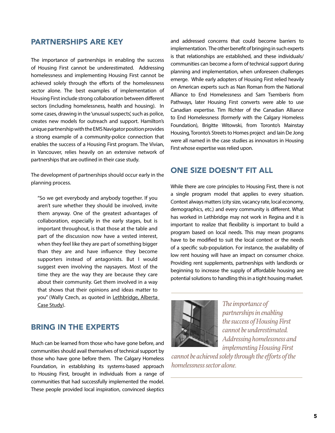#### **PARTNERSHIPS ARE KEY**

The importance of partnerships in enabling the success of Housing First cannot be underestimated. Addressing homelessness and implementing Housing First cannot be achieved solely through the efforts of the homelessness sector alone. The best examples of implementation of Housing First include strong collaboration between different sectors (including homelessness, health and housing). In some cases, drawing in the 'unusual suspects', such as police, creates new models for outreach and support. Hamilton's unique partnership with the EMS Navigator position provides a strong example of a community-police connection that enables the success of a Housing First program. The Vivian, in Vancouver, relies heavily on an extensive network of partnerships that are outlined in their case study.

The development of partnerships should occur early in the planning process.

"So we get everybody and anybody together. If you aren't sure whether they should be involved, invite them anyway. One of the greatest advantages of collaboration, especially in the early stages, but is important throughout, is that those at the table and part of the discussion now have a vested interest, when they feel like they are part of something bigger than they are and have influence they become supporters instead of antagonists. But I would suggest even involving the naysayers. Most of the time they are the way they are because they care about their community. Get them involved in a way that shows that their opinions and ideas matter to you" (Wally Czech, as quoted in [Lethbridge, Alberta](http://www.homelesshub.ca/resource/35-lethbridge-alberta-city-lethbridge-social-housing-action)  Case Study).

#### bring in tHe experts

Much can be learned from those who have gone before, and communities should avail themselves of technical support by those who have gone before them. The Calgary Homeless Foundation, in establishing its systems-based approach to Housing First, brought in individuals from a range of communities that had successfully implemented the model. These people provided local inspiration, convinced skeptics and addressed concerns that could become barriers to implementation. The other benefit of bringing in such experts is that relationships are established, and these individuals/ communities can become a form of technical support during planning and implementation, when unforeseen challenges emerge. While early adopters of Housing First relied heavily on American experts such as Nan Roman from the National Alliance to End Homelessness and Sam Tsemberis from Pathways, later Housing First converts were able to use Canadian expertise. Tim Richter of the Canadian Alliance to End Homelessness (formerly with the Calgary Homeless Foundation), Brigitte Witowski, from Toronto's Mainstay Housing, Toronto's Streets to Homes project and Iain De Jong were all named in the case studies as innovators in Housing First whose expertise was relied upon.

#### one size doesn't Fit all

While there are core principles to Housing First, there is not a single program model that applies to every situation. Context always matters (city size, vacancy rate, local economy, demographics, etc.) and every community is different. What has worked in Lethbridge may not work in Regina and it is important to realize that flexibility is important to build a program based on local needs. This may mean programs have to be modified to suit the local context or the needs of a specific sub-population. For instance, the availability of low rent housing will have an impact on consumer choice. Providing rent supplements, partnerships with landlords or beginning to increase the supply of affordable housing are potential solutions to handling this in a tight housing market.

![](_page_4_Picture_9.jpeg)

*The importance of partnerships in enabling the success of Housing First cannot be underestimated. Addressing homelessness and implementing Housing First* 

*cannot be achieved solely through the efforts of the homelessness sector alone.*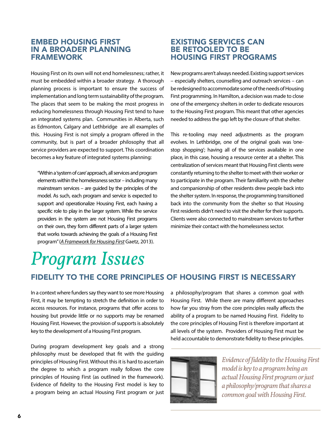#### **EMBED HOUSING FIRST IN A BROADER PLANNING FRAMEWORK**

Housing First on its own will not end homelessness; rather, it must be embedded within a broader strategy. A thorough planning process is important to ensure the success of implementation and long term sustainability of the program. The places that seem to be making the most progress in reducing homelessness through Housing First tend to have an integrated systems plan. Communities in Alberta, such as Edmonton, Calgary and Lethbridge are all examples of this. Housing First is not simply a program offered in the community, but is part of a broader philosophy that all service providers are expected to support. This coordination becomes a key feature of integrated systems planning:

"Within a 'system of care' approach, all services and program elements within the homelessness sector – including many mainstream services – are guided by the principles of the model. As such, each program and service is expected to support and operationalize Housing First, each having a specific role to play in the larger system. While the service providers in the system are not Housing First programs on their own, they form different parts of a larger system that works towards achieving the goals of a Housing First program" (*[A Framework for Housing First](http://www.homelesshub.ca/resource/2-framework-housing-first-0)* Gaetz, 2013).

#### **EXISTING SERVICES CAN BE RETOOLED TO BE HOUSING FIRST PROGRAMS**

New programs aren't always needed. Existing support services - especially shelters, counselling and outreach services - can be redesigned to accommodate some of the needs of Housing First programming. In Hamilton, a decision was made to close one of the emergency shelters in order to dedicate resources to the Housing First program. This meant that other agencies needed to address the gap left by the closure of that shelter.

This re-tooling may need adjustments as the program evolves. In Lethbridge, one of the original goals was 'onestop shopping'; having all of the services available in one place, in this case, housing a resource center at a shelter. This centralization of services meant that Housing First clients were constantly returning to the shelter to meet with their worker or to participate in the program. Their familiarity with the shelter and companionship of other residents drew people back into the shelter system. In response, the programming transitioned back into the community from the shelter so that Housing First residents didn't need to visit the shelter for their supports. Clients were also connected to mainstream services to further minimize their contact with the homelessness sector.

### **Program Issues**

### FIDELITY TO THE CORE PRINCIPLES OF HOUSING FIRST IS NECESSARY

In a context where funders say they want to see more Housing First, it may be tempting to stretch the definition in order to access resources. For instance, programs that offer access to housing but provide little or no supports may be renamed Housing First. However, the provision of supports is absolutely key to the development of a Housing First program.

During program development key goals and a strong philosophy must be developed that fit with the quiding principles of Housing First. Without this it is hard to ascertain the degree to which a program really follows the core principles of Housing First (as outlined in the framework). Evidence of fidelity to the Housing First model is key to a program being an actual Housing First program or just a philosophy/program that shares a common goal with Housing First. While there are many different approaches how far you stray from the core principles really affects the ability of a program to be named Housing First. Fidelity to the core principles of Housing First is therefore important at all levels of the system. Providers of Housing First must be held accountable to demonstrate fidelity to these principles.

![](_page_5_Picture_11.jpeg)

*Evidence of fidelity to the Housing First model is key to a program being an actual Housing First program or just a philosophy/program that shares a common goal with Housing First.*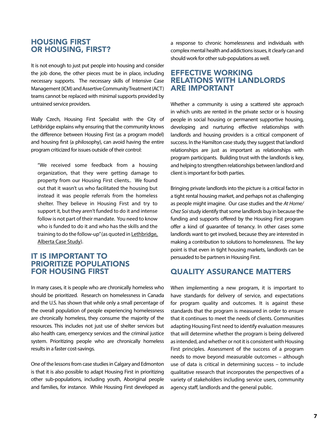#### Housing First or Housing, First?

It is not enough to just put people into housing and consider the job done, the other pieces must be in place, including necessary supports. The necessary skills of Intensive Case Management (ICM) and Assertive Community Treatment (ACT) teams cannot be replaced with minimal supports provided by untrained service providers.

Wally Czech, Housing First Specialist with the City of Lethbridge explains why ensuring that the community knows the difference between Housing First (as a program model) and housing first (a philosophy), can avoid having the entire program criticized for issues outside of their control:

"We received some feedback from a housing organization, that they were getting damage to property from our Housing First clients.. We found out that it wasn't us who facilitated the housing but instead it was people referrals from the homeless shelter. They believe in Housing First and try to support it, but they aren't funded to do it and intense follow is not part of their mandate. You need to know who is funded to do it and who has the skills and the training to do the follow-up" (as quoted in [Lethbridge,](http://www.homelesshub.ca/resource/35-lethbridge-alberta-city-lethbridge-social-housing-action) [Alberta Case Study\)](www.homelesshub.ca/resource/35-lethbridge-alberta-city-lethbridge-social-housing-action).

#### **IT IS IMPORTANT TO PRIORITIZE POPULATIONS FOR HOUSING FIRST**

In many cases, it is people who are chronically homeless who should be prioritized. Research on homelessness in Canada and the U.S. has shown that while only a small percentage of the overall population of people experiencing homelessness are chronically homeless, they consume the majority of the resources. This includes not just use of shelter services but also health care, emergency services and the criminal justice system. Prioritizing people who are chronically homeless results in a faster cost-savings.

One of the lessons from case studies in Calgary and Edmonton is that it is also possible to adapt Housing First in prioritizing other sub-populations, including youth, Aboriginal people and families, for instance. While Housing First developed as a response to chronic homelessness and individuals with complex mental health and addictions issues, it clearly can and should work for other sub-populations as well.

#### **EFFECTIVE WORKING RELATIONS WITH LANDLORDS ARE IMPORTANT**

Whether a community is using a scattered site approach in which units are rented in the private sector or is housing people in social housing or permanent supportive housing, developing and nurturing effective relationships with landlords and housing providers is a critical component of success. In the Hamilton case study, they suggest that landlord relationships are just as important as relationships with program participants. Building trust with the landlords is key, and helping to strengthen relationships between landlord and client is important for both parties.

Bringing private landlords into the picture is a critical factor in a tight rental housing market, and perhaps not as challenging as people might imagine. Our case studies and the *At Home/ Chez Soi* study identify that some landlords buy in because the funding and supports offered by the Housing First program offer a kind of guarantee of tenancy. In other cases some landlords want to get involved, because they are interested in making a contribution to solutions to homelessness. The key point is that even in tight housing markets, landlords can be persuaded to be partners in Housing First.

#### Quality assurance matters

When implementing a new program, it is important to have standards for delivery of service, and expectations for program quality and outcomes. It is against these standards that the program is measured in order to ensure that it continues to meet the needs of clients. Communities adapting Housing First need to identify evaluation measures that will determine whether the program is being delivered as intended, and whether or not it is consistent with Housing First principles. Assessment of the success of a program needs to move beyond measurable outcomes – although use of data is critical in determining success – to include qualitative research that incorporates the perspectives of a variety of stakeholders including service users, community agency staff, landlords and the general public.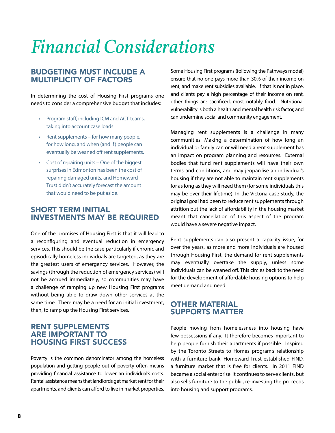# *Financial Considerations*

### **BUDGETING MUST INCLUDE A MULTIPLICITY OF FACTORS**

In determining the cost of Housing First programs one needs to consider a comprehensive budget that includes:

- Program staff, including ICM and ACT teams, taking into account case loads.
- Rent supplements for how many people, for how long, and when (and if) people can eventually be weaned off rent supplements.
- Cost of repairing units One of the biggest surprises in Edmonton has been the cost of repairing damaged units, and Homeward Trust didn't accurately forecast the amount that would need to be put aside.

#### **SHORT TERM INITIAL INVESTMENTS MAY BE REQUIRED**

One of the promises of Housing First is that it will lead to a reconfiguring and eventual reduction in emergency services. This should be the case particularly if chronic and episodically homeless individuals are targeted, as they are the greatest users of emergency services. However, the savings (through the reduction of emergency services) will not be accrued immediately, so communities may have a challenge of ramping up new Housing First programs without being able to draw down other services at the same time. There may be a need for an initial investment, then, to ramp up the Housing First services.

#### **RENT SUPPLEMENTS ARE IMPORTANT TO HOUSING FIRST SUCCESS**

Poverty is the common denominator among the homeless population and getting people out of poverty often means providing financial assistance to lower an individual's costs. Rental assistance means that landlords get market rent for their apartments, and clients can afford to live in market properties. Some Housing First programs (following the Pathways model) ensure that no one pays more than 30% of their income on rent, and make rent subsidies available. If that is not in place, and clients pay a high percentage of their income on rent, other things are sacrificed, most notably food. Nutritional vulnerability is both a health and mental health risk factor, and can undermine social and community engagement.

Managing rent supplements is a challenge in many communities. Making a determination of how long an individual or family can or will need a rent supplement has an impact on program planning and resources. External bodies that fund rent supplements will have their own terms and conditions, and may jeopardise an individual's housing if they are not able to maintain rent supplements for as long as they will need them (for some individuals this may be over their lifetime). In the Victoria case study, the original goal had been to reduce rent supplements through attrition but the lack of affordability in the housing market meant that cancellation of this aspect of the program would have a severe negative impact.

Rent supplements can also present a capacity issue, for over the years, as more and more individuals are housed through Housing First, the demand for rent supplements may eventually overtake the supply, unless some individuals can be weaned off. This circles back to the need for the development of affordable housing options to help meet demand and need.

#### **OTHER MATERIAL SUPPORTS MATTER**

People moving from homelessness into housing have few possessions if any. It therefore becomes important to help people furnish their apartments if possible. Inspired by the Toronto Streets to Homes program's relationship with a furniture bank, Homeward Trust established FIND, a furniture market that is free for clients. In 2011 FIND became a social enterprise. It continues to serve clients, but also sells furniture to the public, re-investing the proceeds into housing and support programs.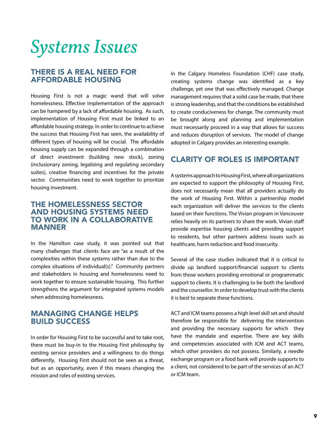## *Systems Issues*

#### **THERE IS A REAL NEED FOR AFFORDABLE HOUSING**

Housing First is not a magic wand that will solve homelessness. Effective implementation of the approach can be hampered by a lack of affordable housing. As such, implementation of Housing First must be linked to an affordable housing strategy. In order to continue to achieve the success that Housing First has seen, the availability of different types of housing will be crucial. The affordable housing supply can be expanded through a combination of direct investment (building new stock), zoning (inclusionary zoning, legalizing and regulating secondary suites), creative financing and incentives for the private sector. Communities need to work together to prioritize housing investment.

#### **THE HOMELESSNESS SECTOR AND HOUSING SYSTEMS NEED TO WORK IN A COLLABORATIVE MANNER**

In the Hamilton case study, it was pointed out that many challenges that clients face are "as a result of the complexities within these systems rather than due to the complex situations of individual(s)." Community partners and stakeholders in housing and homelessness need to work together to ensure sustainable housing. This further strengthens the argument for integrated systems models when addressing homelessness.

#### **MANAGING CHANGE HELPS BUILD SUCCESS**

In order for Housing First to be successful and to take root, there must be buy-in to the Housing First philosophy by existing service providers and a willingness to do things differently. Housing First should not be seen as a threat, but as an opportunity, even if this means changing the mission and roles of existing services.

In the Calgary Homeless Foundation (CHF) case study, creating systems change was identified as a key challenge, yet one that was effectively managed. Change management requires that a solid case be made, that there is strong leadership, and that the conditions be established to create conduciveness for change. The community must be brought along and planning and implementation must necessarily proceed in a way that allows for success and reduces disruption of services. The model of change adopted in Calgary provides an interesting example.

#### **CLARITY OF ROLES IS IMPORTANT**

A systems approach to Housing First, where all organizations are expected to support the philosophy of Housing First, does not necessarily mean that all providers actually do the work of Housing First. Within a partnership model each organization will deliver the services to the clients based on their functions. The Vivian program in Vancouver relies heavily on its partners to share the work. Vivian staff provide expertise housing clients and providing support to residents, but other partners address issues such as healthcare, harm reduction and food insecurity.

Several of the case studies indicated that it is critical to divide up landlord support/financial support to clients from those workers providing emotional or programmatic support to clients. It is challenging to be both the landlord and the counsellor. In order to develop trust with the clients it is best to separate these functions.

ACT and ICM teams possess a high level skill set and should therefore be responsible for delivering the intervention and providing the necessary supports for which they have the mandate and expertise. There are key skills and competencies associated with ICM and ACT teams, which other providers do not possess. Similarly, a needle exchange program or a food bank will provide supports to a client, not considered to be part of the services of an ACT or ICM team.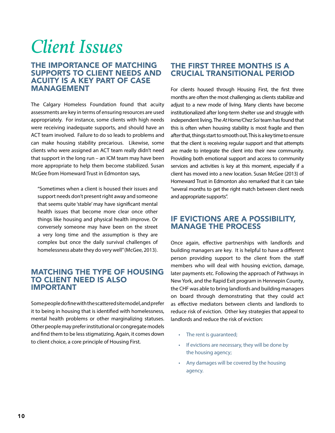### *Client Issues*

#### THE IMPORTANCE OF MATCHING **SUPPORTS TO CLIENT NEEDS AND ACUITY IS A KEY PART OF CASE MANAGEMENT**

The Calgary Homeless Foundation found that acuity assessments are key in terms of ensuring resources are used appropriately. For instance, some clients with high needs were receiving inadequate supports, and should have an ACT team involved. Failure to do so leads to problems and can make housing stability precarious. Likewise, some clients who were assigned an ACT team really didn't need that support in the long run – an ICM team may have been more appropriate to help them become stabilized. Susan McGee from Homeward Trust in Edmonton says,

"Sometimes when a client is housed their issues and support needs don't present right away and someone that seems quite 'stable' may have significant mental health issues that become more clear once other things like housing and physical health improve. Or conversely someone may have been on the street a very long time and the assumption is they are complex but once the daily survival challenges of homelessness abate they do very well" (McGee, 2013).

#### **MATCHING THE TYPE OF HOUSING TO CLIENT NEED IS ALSO IMPORTANT**

Some people do fine with the scattered site model, and prefer it to being in housing that is identified with homelessness, mental health problems or other marginalizing statuses. Other people may prefer institutional or congregate models and find them to be less stigmatizing. Again, it comes down to client choice, a core principle of Housing First.

#### THE FIRST THREE MONTHS IS A **CRUCIAL TRANSITIONAL PERIOD**

For clients housed through Housing First, the first three months are often the most challenging as clients stabilize and adjust to a new mode of living. Many clients have become institutionalized after long-term shelter use and struggle with independent living. The *At Home/Chez Soi* team has found that this is often when housing stability is most fragile and then after that, things start to smooth out. This is a key time to ensure that the client is receiving regular support and that attempts are made to integrate the client into their new community. Providing both emotional support and access to community services and activities is key at this moment, especially if a client has moved into a new location. Susan McGee (2013) of Homeward Trust in Edmonton also remarked that it can take "several months to get the right match between client needs and appropriate supports".

#### IF EVICTIONS ARE A POSSIBILITY, **MANAGE THE PROCESS**

Once again, effective partnerships with landlords and building managers are key. It is helpful to have a different person providing support to the client from the staff members who will deal with housing eviction, damage, later payments etc. Following the approach of Pathways in New York, and the Rapid Exit program in Hennepin County, the CHF was able to bring landlords and building managers on board through demonstrating that they could act as effective mediators between clients and landlords to reduce risk of eviction. Other key strategies that appeal to landlords and reduce the risk of eviction:

- The rent is quaranteed;
- If evictions are necessary, they will be done by the housing agency;
- Any damages will be covered by the housing agency.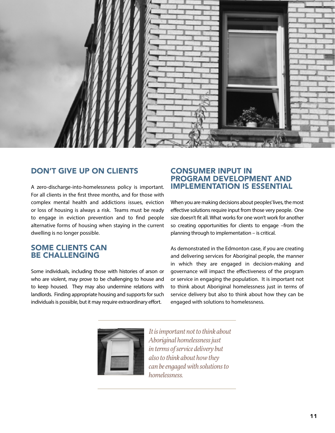![](_page_10_Picture_0.jpeg)

#### don't give up on clients

A zero-discharge-into-homelessness policy is important. For all clients in the first three months, and for those with complex mental health and addictions issues, eviction or loss of housing is always a risk. Teams must be ready to engage in eviction prevention and to find people alternative forms of housing when staying in the current dwelling is no longer possible.

#### **SOME CLIENTS CAN BE CHALLENGING**

Some individuals, including those with histories of arson or who are violent, may prove to be challenging to house and to keep housed. They may also undermine relations with landlords. Finding appropriate housing and supports for such individuals is possible, but it may require extraordinary effort.

#### **CONSUMER INPUT IN PROGRAM DEVELOPMENT AND IMPLEMENTATION IS ESSENTIAL**

When you are making decisions about peoples' lives, the most effective solutions require input from those very people. One size doesn't fit all. What works for one won't work for another so creating opportunities for clients to engage –from the planning through to implementation – is critical.

As demonstrated in the Edmonton case, if you are creating and delivering services for Aboriginal people, the manner in which they are engaged in decision-making and governance will impact the effectiveness of the program or service in engaging the population. It is important not to think about Aboriginal homelessness just in terms of service delivery but also to think about how they can be engaged with solutions to homelessness.

![](_page_10_Picture_8.jpeg)

*It is important not to think about Aboriginal homelessness just in terms of service delivery but also to think about how they can be engaged with solutions to homelessness.*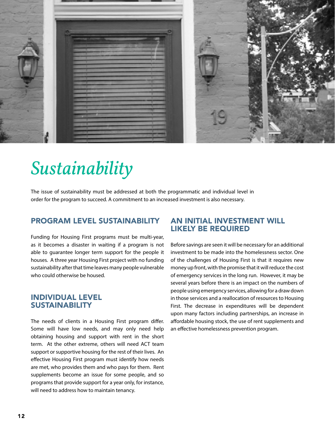![](_page_11_Picture_0.jpeg)

## *Sustainability*

The issue of sustainability must be addressed at both the programmatic and individual level in order for the program to succeed. A commitment to an increased investment is also necessary.

#### **PROGRAM LEVEL SUSTAINABILITY**

Funding for Housing First programs must be multi-year, as it becomes a disaster in waiting if a program is not able to guarantee longer term support for the people it houses. A three year Housing First project with no funding sustainability after that time leaves many people vulnerable who could otherwise be housed.

#### **INDIVIDUAL LEVEL SUSTAINABILITY**

The needs of clients in a Housing First program differ. Some will have low needs, and may only need help obtaining housing and support with rent in the short term. At the other extreme, others will need ACT team support or supportive housing for the rest of their lives. An effective Housing First program must identify how needs are met, who provides them and who pays for them. Rent supplements become an issue for some people, and so programs that provide support for a year only, for instance, will need to address how to maintain tenancy.

#### **AN INITIAL INVESTMENT WILL LIKELY BE REQUIRED**

Before savings are seen it will be necessary for an additional investment to be made into the homelessness sector. One of the challenges of Housing First is that it requires new money up front, with the promise that it will reduce the cost of emergency services in the long run. However, it may be several years before there is an impact on the numbers of people using emergency services, allowing for a draw down in those services and a reallocation of resources to Housing First. The decrease in expenditures will be dependent upon many factors including partnerships, an increase in affordable housing stock, the use of rent supplements and an effective homelessness prevention program.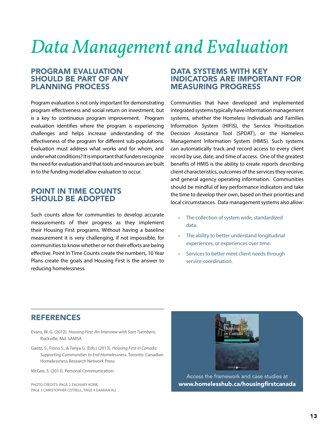## *Data Management and Evaluation*

#### program evaluation sHould be part oF any planning process

Program evaluation is not only important for demonstrating program effectiveness and social return on investment, but is a key to continuous program improvement. Program evaluation identifies where the program is experiencing challenges and helps increase understanding of the effectiveness of the program for different sub-populations. Evaluation must address what works and for whom, and under what conditions? It is important that funders recognize the need for evaluation and that tools and resources are built in to the funding model allow evaluation to occur.

#### **POINT IN TIME COUNTS SHOULD BE ADOPTED**

Such counts allow for communities to develop accurate measurements of their progress as they implement their Housing First programs. Without having a baseline measurement it is very challenging, if not impossible, for communities to know whether or not their efforts are being effective. Point In Time Counts create the numbers, 10 Year Plans create the goals and Housing First is the answer to reducing homelessness.

#### **DATA SYSTEMS WITH KEY INDICATORS ARE IMPORTANT FOR MEASURING PROGRESS**

Communities that have developed and implemented integrated systems typically have information management systems, whether the Homeless Individuals and Families Information System (HIFIS), the Service Prioritization Decision Assistance Tool (SPDAT), or the Homeless Management Information System (HMIS). Such systems can automatically track and record access to every client record by use, date, and time of access. One of the greatest benefits of HMIS is the ability to create reports describing client characteristics, outcomes of the services they receive, and general agency operating information. Communities should be mindful of key performance indicators and take the time to develop their own, based on their priorities and local circumstances. Data management systems also allow:

- The collection of system wide, standardized data.
- The ability to better understand longitudinal experiences, or experiences over time.
- Services to better meet client needs through service coordination.

### **REFERENCES**

- Evans, W. G. (2012). *Housing First: An Interview with Sam Tsemberis*. Rockville, Md. SAMSA
- Gaetz, S., Fiona S., & Tanya G. (Eds.) (2013). *Housing First in Canada: Supporting Communities to End Homelessness*. Toronto: Canadian Homelessness Research Network Press.

McGee, S. (2013). Personal Communication.

PHOTO CREDITS: PAGE 2 [ZACHARY KORB](http://www.flickr.com/photos/zkorb/), PAGE 3 CHRISTOPHER COTRELL, PAGE 4 DAMIAN ALI

![](_page_12_Picture_15.jpeg)

Access the framework and case studies at <www.homelesshub.ca/housingfirstcanada>